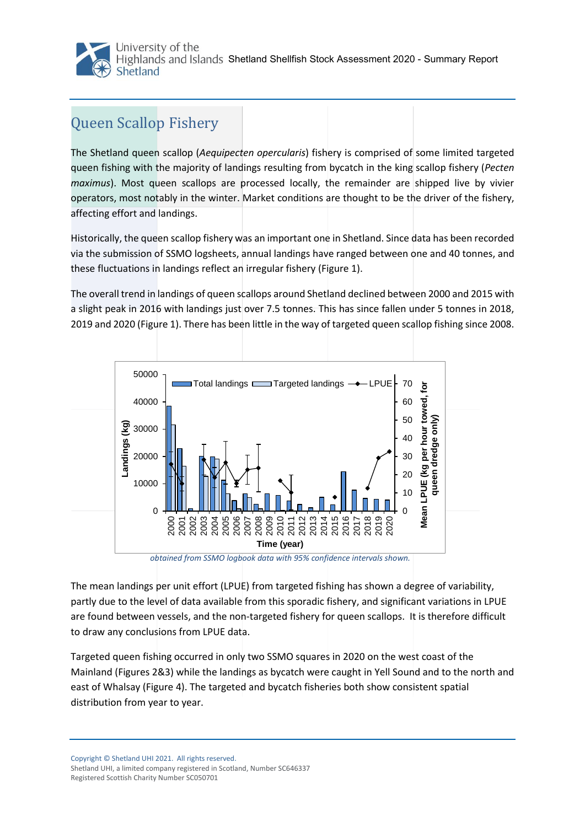

## Queen Scallop Fishery

The Shetland queen scallop (*Aequipecten opercularis*) fishery is comprised of some limited targeted queen fishing with the majority of landings resulting from bycatch in the king scallop fishery (*Pecten maximus*). Most queen scallops are processed locally, the remainder are shipped live by vivier operators, most notably in the winter. Market conditions are thought to be the driver of the fishery, affecting effort and landings.

Historically, the queen scallop fishery was an important one in Shetland. Since data has been recorded via the submission of SSMO logsheets, annual landings have ranged between one and 40 tonnes, and these fluctuations in landings reflect an irregular fishery (Figure 1).

The overall trend in landings of queen scallops around Shetland declined between 2000 and 2015 with a slight peak in 2016 with landings just over 7.5 tonnes. This has since fallen under 5 tonnes in 2018, 2019 and 2020 (Figure 1). There has been little in the way of targeted queen scallop fishing since 2008.



*obtained from SSMO logbook data with 95% confidence intervals shown.*

The mean landings per unit effort (LPUE) from targeted fishing has shown a degree of variability, partly due to the level of data available from this sporadic fishery, and significant variations in LPUE are found between vessels, and the non-targeted fishery for queen scallops. It is therefore difficult to draw any conclusions from LPUE data.

Targeted queen fishing occurred in only two SSMO squares in 2020 on the west coast of the Mainland (Figures 2&3) while the landings as bycatch were caught in Yell Sound and to the north and east of Whalsay (Figure 4). The targeted and bycatch fisheries both show consistent spatial distribution from year to year.